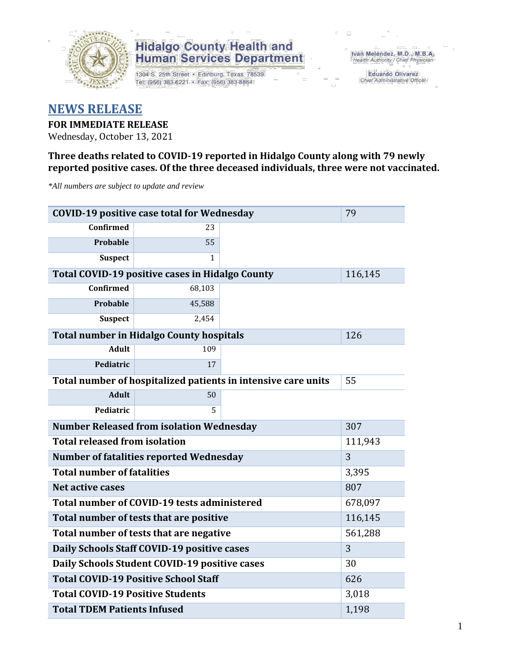

1304 S. 25th Street · Edinburg, Texas 78539 Tel: (956) 383-6221 · Fax: (956) 383-8864

Iván Meléndez, M.D., M.B.A.<br>Health Authority / Chief Physician

Eduardo Olivarez Chief Administrative Officer

## **NEWS RELEASE**

### **FOR IMMEDIATE RELEASE**

Wednesday, October 13, 2021

### **Three deaths related to COVID-19 reported in Hidalgo County along with 79 newly reported positive cases. Of the three deceased individuals, three were not vaccinated.**

*\*All numbers are subject to update and review*

| <b>COVID-19 positive case total for Wednesday</b>             | 79                                                     |  |         |
|---------------------------------------------------------------|--------------------------------------------------------|--|---------|
| <b>Confirmed</b>                                              | 23                                                     |  |         |
| <b>Probable</b>                                               | 55                                                     |  |         |
| <b>Suspect</b>                                                | $\mathbf{1}$                                           |  |         |
|                                                               | <b>Total COVID-19 positive cases in Hidalgo County</b> |  | 116,145 |
| Confirmed                                                     | 68,103                                                 |  |         |
| <b>Probable</b>                                               | 45,588                                                 |  |         |
| <b>Suspect</b>                                                | 2,454                                                  |  |         |
| <b>Total number in Hidalgo County hospitals</b>               | 126                                                    |  |         |
| <b>Adult</b>                                                  | 109                                                    |  |         |
| Pediatric                                                     | 17                                                     |  |         |
| Total number of hospitalized patients in intensive care units | 55                                                     |  |         |
| <b>Adult</b>                                                  | 50                                                     |  |         |
| Pediatric                                                     | 5                                                      |  |         |
| <b>Number Released from isolation Wednesday</b>               | 307                                                    |  |         |
| <b>Total released from isolation</b>                          | 111,943                                                |  |         |
| Number of fatalities reported Wednesday                       | 3                                                      |  |         |
| <b>Total number of fatalities</b>                             | 3,395                                                  |  |         |
| Net active cases                                              | 807                                                    |  |         |
| Total number of COVID-19 tests administered                   | 678,097                                                |  |         |
| Total number of tests that are positive                       | 116,145                                                |  |         |
| Total number of tests that are negative                       | 561,288                                                |  |         |
| Daily Schools Staff COVID-19 positive cases                   | 3                                                      |  |         |
| Daily Schools Student COVID-19 positive cases                 | 30                                                     |  |         |
| <b>Total COVID-19 Positive School Staff</b>                   | 626                                                    |  |         |
| <b>Total COVID-19 Positive Students</b>                       | 3,018                                                  |  |         |
| <b>Total TDEM Patients Infused</b>                            | 1,198                                                  |  |         |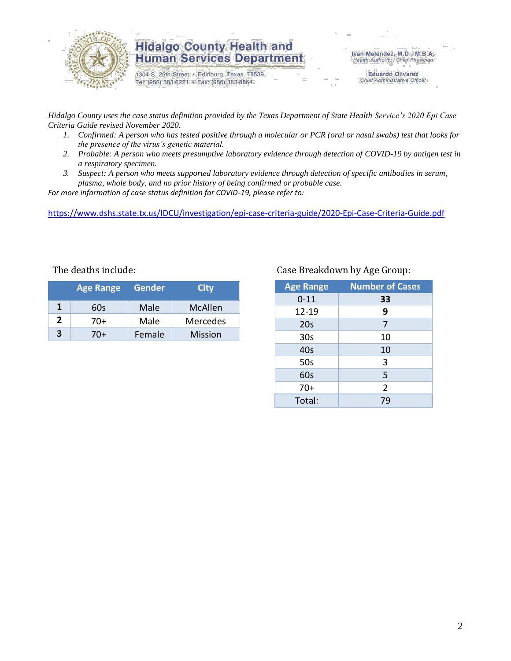

1304 S. 25th Street · Edinburg, Texas 78539 Tel: (956) 383-6221 · Fax: (956) 383-8864

Iván Meléndez, M.D., M.B.A.<br>Health Authority / Chief Physician

**Eduardo Olivarez** Chief Administrative Officer

*Hidalgo County uses the case status definition provided by the Texas Department of State Health Service's 2020 Epi Case Criteria Guide revised November 2020.*

- *1. Confirmed: A person who has tested positive through a molecular or PCR (oral or nasal swabs) test that looks for the presence of the virus's genetic material.*
- *2. Probable: A person who meets presumptive laboratory evidence through detection of COVID-19 by antigen test in a respiratory specimen.*
- *3. Suspect: A person who meets supported laboratory evidence through detection of specific antibodies in serum, plasma, whole body, and no prior history of being confirmed or probable case.*

*For more information of case status definition for COVID-19, please refer to:*

<https://www.dshs.state.tx.us/IDCU/investigation/epi-case-criteria-guide/2020-Epi-Case-Criteria-Guide.pdf>

| <b>Age Range</b> |     | <b>Gender</b> | <b>City</b>    |  |
|------------------|-----|---------------|----------------|--|
| 1                | 60s | Male          | McAllen        |  |
| 2                | 70+ | Male          | Mercedes       |  |
| 3                | 70+ | Female        | <b>Mission</b> |  |

### The deaths include: The deaths include: Case Breakdown by Age Group:

| <b>Age Range</b> | <b>Number of Cases</b> |
|------------------|------------------------|
| $0 - 11$         | 33                     |
| 12-19            | 9                      |
| 20s              | 7                      |
| 30 <sub>s</sub>  | 10                     |
| 40s              | 10                     |
| 50s              | 3                      |
| 60s              | 5                      |
| $70+$            | $\overline{2}$         |
| Total:           | 79                     |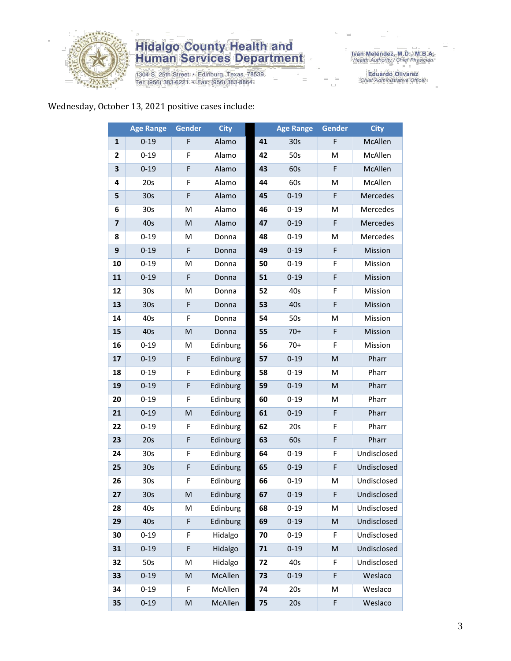

1304 S. 25th Street · Edinburg, Texas 78539 Tel: (956) 383-6221 · Fax: (956) 383-8864

Iván Meléndez, M.D., M.B.A.<br>Health Authority / Chief Physician

Eduardo Olivarez<br>Chief Administrative Officer

### Wednesday, October 13, 2021 positive cases include:

|                         | <b>Age Range</b> | Gender      | <b>City</b> |    | <b>Age Range</b> | <b>Gender</b> | <b>City</b> |
|-------------------------|------------------|-------------|-------------|----|------------------|---------------|-------------|
| 1                       | $0 - 19$         | F           | Alamo       | 41 | 30 <sub>s</sub>  | F             | McAllen     |
| $\overline{2}$          | $0 - 19$         | F           | Alamo       | 42 | 50s              | M             | McAllen     |
| 3                       | $0 - 19$         | F           | Alamo       | 43 | 60s              | F             | McAllen     |
| 4                       | 20s              | F           | Alamo       | 44 | 60s              | M             | McAllen     |
| 5                       | 30 <sub>s</sub>  | $\mathsf F$ | Alamo       | 45 | $0 - 19$         | F             | Mercedes    |
| 6                       | 30 <sub>s</sub>  | M           | Alamo       | 46 | $0 - 19$         | м             | Mercedes    |
| $\overline{\mathbf{z}}$ | 40s              | M           | Alamo       | 47 | $0 - 19$         | F             | Mercedes    |
| 8                       | $0 - 19$         | м           | Donna       | 48 | $0 - 19$         | M             | Mercedes    |
| 9                       | $0 - 19$         | $\mathsf F$ | Donna       | 49 | $0 - 19$         | F             | Mission     |
| 10                      | $0 - 19$         | M           | Donna       | 50 | $0 - 19$         | F             | Mission     |
| 11                      | $0 - 19$         | F           | Donna       | 51 | $0 - 19$         | F             | Mission     |
| 12                      | 30 <sub>s</sub>  | M           | Donna       | 52 | 40s              | F             | Mission     |
| 13                      | 30 <sub>s</sub>  | F           | Donna       | 53 | 40s              | F             | Mission     |
| 14                      | 40s              | F           | Donna       | 54 | 50s              | M             | Mission     |
| 15                      | 40s              | M           | Donna       | 55 | $70+$            | F             | Mission     |
| 16                      | $0 - 19$         | M           | Edinburg    | 56 | $70+$            | F             | Mission     |
| 17                      | $0 - 19$         | F           | Edinburg    | 57 | $0 - 19$         | M             | Pharr       |
| 18                      | $0 - 19$         | F           | Edinburg    | 58 | $0 - 19$         | M             | Pharr       |
| 19                      | $0 - 19$         | F           | Edinburg    | 59 | $0 - 19$         | M             | Pharr       |
| 20                      | $0 - 19$         | F           | Edinburg    | 60 | $0 - 19$         | M             | Pharr       |
| 21                      | $0 - 19$         | M           | Edinburg    | 61 | $0 - 19$         | F             | Pharr       |
| 22                      | $0 - 19$         | F           | Edinburg    | 62 | 20s              | F             | Pharr       |
| 23                      | 20s              | $\mathsf F$ | Edinburg    | 63 | 60s              | F             | Pharr       |
| 24                      | 30 <sub>s</sub>  | F           | Edinburg    | 64 | $0 - 19$         | F             | Undisclosed |
| 25                      | 30 <sub>s</sub>  | F           | Edinburg    | 65 | $0 - 19$         | F             | Undisclosed |
| 26                      | 30 <sub>s</sub>  | $\mathsf F$ | Edinburg    | 66 | $0 - 19$         | M             | Undisclosed |
| 27                      | 30s              | M           | Edinburg    | 67 | $0 - 19$         | F             | Undisclosed |
| 28                      | 40s              | M           | Edinburg    | 68 | $0 - 19$         | M             | Undisclosed |
| 29                      | 40s              | F           | Edinburg    | 69 | $0 - 19$         | M             | Undisclosed |
| 30                      | $0 - 19$         | F           | Hidalgo     | 70 | $0 - 19$         | F             | Undisclosed |
| 31                      | $0 - 19$         | F           | Hidalgo     | 71 | $0 - 19$         | M             | Undisclosed |
| 32                      | 50s              | M           | Hidalgo     | 72 | 40s              | F             | Undisclosed |
| 33                      | $0 - 19$         | M           | McAllen     | 73 | $0 - 19$         | F             | Weslaco     |
| 34                      | $0 - 19$         | F           | McAllen     | 74 | 20s              | M             | Weslaco     |
| 35                      | $0 - 19$         | M           | McAllen     | 75 | 20s              | F             | Weslaco     |